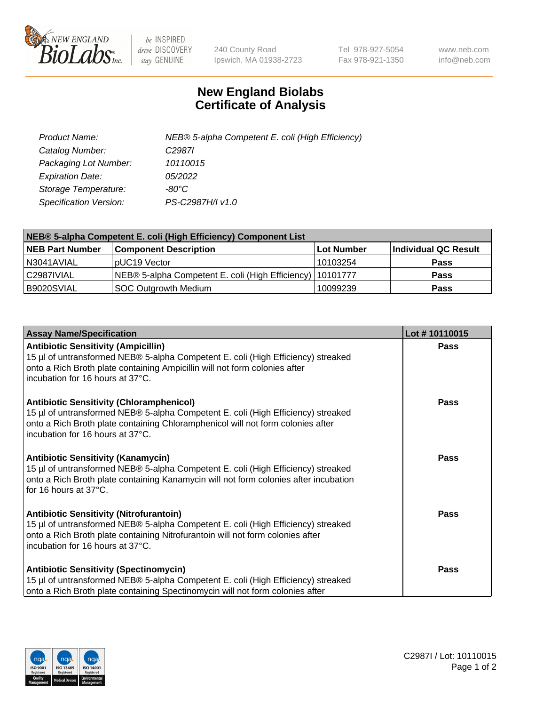

 $be$  INSPIRED drive DISCOVERY stay GENUINE

240 County Road Ipswich, MA 01938-2723 Tel 978-927-5054 Fax 978-921-1350 www.neb.com info@neb.com

## **New England Biolabs Certificate of Analysis**

| Product Name:           | NEB® 5-alpha Competent E. coli (High Efficiency) |
|-------------------------|--------------------------------------------------|
| Catalog Number:         | C <sub>2987</sub>                                |
| Packaging Lot Number:   | 10110015                                         |
| <b>Expiration Date:</b> | <i>05/2022</i>                                   |
| Storage Temperature:    | -80°C.                                           |
| Specification Version:  | PS-C2987H/I v1.0                                 |

| NEB® 5-alpha Competent E. coli (High Efficiency) Component List |                                                             |            |                      |  |
|-----------------------------------------------------------------|-------------------------------------------------------------|------------|----------------------|--|
| <b>NEB Part Number</b>                                          | <b>Component Description</b>                                | Lot Number | Individual QC Result |  |
| N3041AVIAL                                                      | pUC19 Vector                                                | 10103254   | <b>Pass</b>          |  |
| C2987IVIAL                                                      | NEB® 5-alpha Competent E. coli (High Efficiency)   10101777 |            | <b>Pass</b>          |  |
| B9020SVIAL                                                      | SOC Outgrowth Medium                                        | 10099239   | <b>Pass</b>          |  |

| <b>Assay Name/Specification</b>                                                                                                                                                                                                                            | Lot #10110015 |
|------------------------------------------------------------------------------------------------------------------------------------------------------------------------------------------------------------------------------------------------------------|---------------|
| <b>Antibiotic Sensitivity (Ampicillin)</b><br>15 µl of untransformed NEB® 5-alpha Competent E. coli (High Efficiency) streaked<br>onto a Rich Broth plate containing Ampicillin will not form colonies after<br>incubation for 16 hours at 37°C.           | Pass          |
| <b>Antibiotic Sensitivity (Chloramphenicol)</b><br>15 µl of untransformed NEB® 5-alpha Competent E. coli (High Efficiency) streaked<br>onto a Rich Broth plate containing Chloramphenicol will not form colonies after<br>incubation for 16 hours at 37°C. | Pass          |
| <b>Antibiotic Sensitivity (Kanamycin)</b><br>15 µl of untransformed NEB® 5-alpha Competent E. coli (High Efficiency) streaked<br>onto a Rich Broth plate containing Kanamycin will not form colonies after incubation<br>for 16 hours at 37°C.             | Pass          |
| <b>Antibiotic Sensitivity (Nitrofurantoin)</b><br>15 µl of untransformed NEB® 5-alpha Competent E. coli (High Efficiency) streaked<br>onto a Rich Broth plate containing Nitrofurantoin will not form colonies after<br>incubation for 16 hours at 37°C.   | <b>Pass</b>   |
| <b>Antibiotic Sensitivity (Spectinomycin)</b><br>15 µl of untransformed NEB® 5-alpha Competent E. coli (High Efficiency) streaked<br>onto a Rich Broth plate containing Spectinomycin will not form colonies after                                         | Pass          |